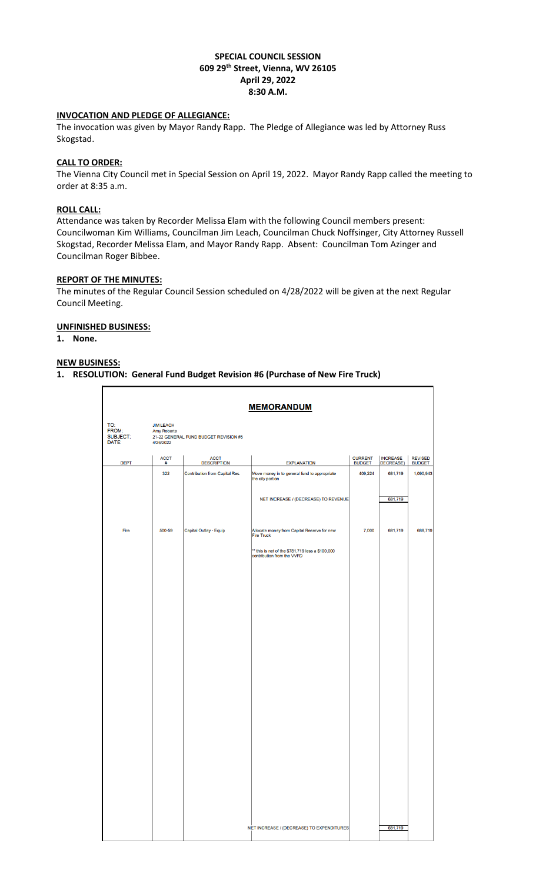# **SPECIAL COUNCIL SESSION 609 29th Street, Vienna, WV 26105 April 29, 2022 8:30 A.M.**

# **INVOCATION AND PLEDGE OF ALLEGIANCE:**

The invocation was given by Mayor Randy Rapp. The Pledge of Allegiance was led by Attorney Russ Skogstad.

# **CALL TO ORDER:**

The Vienna City Council met in Special Session on April 19, 2022. Mayor Randy Rapp called the meeting to order at 8:35 a.m.

## **ROLL CALL:**

Attendance was taken by Recorder Melissa Elam with the following Council members present: Councilwoman Kim Williams, Councilman Jim Leach, Councilman Chuck Noffsinger, City Attorney Russell Skogstad, Recorder Melissa Elam, and Mayor Randy Rapp. Absent: Councilman Tom Azinger and Councilman Roger Bibbee.

# **REPORT OF THE MINUTES:**

The minutes of the Regular Council Session scheduled on 4/28/2022 will be given at the next Regular Council Meeting.

## **UNFINISHED BUSINESS:**

**1. None.**

#### **NEW BUSINESS:**

#### **1. RESOLUTION: General Fund Budget Revision #6 (Purchase of New Fire Truck)**

|                                          |                                                     |                                       | <b>MEMORANDUM</b>                                                              |                                 |                               |                                 |
|------------------------------------------|-----------------------------------------------------|---------------------------------------|--------------------------------------------------------------------------------|---------------------------------|-------------------------------|---------------------------------|
| TO:<br>FROM:<br><b>SUBJECT:</b><br>DATE: | <b>JIM LEACH</b><br><b>Amy Roberts</b><br>4/26/2022 | 21-22 GENERAL FUND BUDGET REVISION #6 |                                                                                |                                 |                               |                                 |
| <b>DEPT</b>                              | <b>ACCT</b><br>#                                    | <b>ACCT</b><br><b>DESCRIPTION</b>     | <b>EXPLANATION</b>                                                             | <b>CURRENT</b><br><b>BUDGET</b> | <b>INCREASE</b><br>(DECREASE) | <b>REVISED</b><br><b>BUDGET</b> |
|                                          | 322                                                 | <b>Contribution from Capital Res.</b> | Move money in to general fund to appropriate<br>the city portion               | 409,224                         | 681,719                       | 1,090,943                       |
|                                          |                                                     |                                       | NET INCREASE / (DECREASE) TO REVENUE                                           |                                 | 681,719                       |                                 |
| Fire                                     | 500-59                                              | Capital Outlay - Equip                | Allocate money from Capital Reserve for new<br><b>Fire Truck</b>               | 7,000                           | 681,719                       | 688,719                         |
|                                          |                                                     |                                       | ** this is net of the \$781,719 less a \$100,000<br>contribution from the VVFD |                                 |                               |                                 |
|                                          |                                                     |                                       |                                                                                |                                 |                               |                                 |
|                                          |                                                     |                                       |                                                                                |                                 |                               |                                 |
|                                          |                                                     |                                       |                                                                                |                                 |                               |                                 |
|                                          |                                                     |                                       |                                                                                |                                 |                               |                                 |
|                                          |                                                     |                                       |                                                                                |                                 |                               |                                 |
|                                          |                                                     |                                       |                                                                                |                                 |                               |                                 |
|                                          |                                                     |                                       |                                                                                |                                 |                               |                                 |
|                                          |                                                     |                                       |                                                                                |                                 |                               |                                 |
|                                          |                                                     |                                       |                                                                                |                                 |                               |                                 |
|                                          |                                                     |                                       |                                                                                |                                 |                               |                                 |
|                                          |                                                     |                                       |                                                                                |                                 |                               |                                 |
|                                          |                                                     |                                       |                                                                                |                                 |                               |                                 |
|                                          |                                                     |                                       |                                                                                |                                 |                               |                                 |
|                                          |                                                     |                                       |                                                                                |                                 |                               |                                 |
|                                          |                                                     |                                       |                                                                                |                                 |                               |                                 |
|                                          |                                                     |                                       | NET INCREASE / (DECREASE) TO EXPENDITURES                                      |                                 | 681,719                       |                                 |